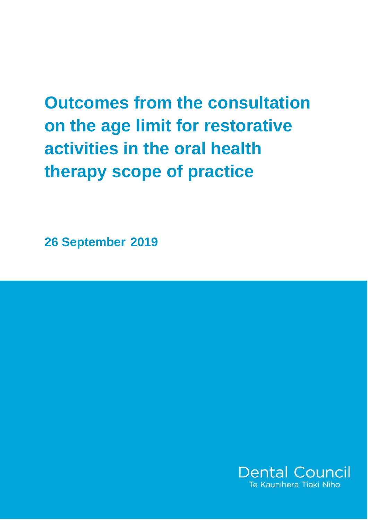**Outcomes from the consultation on the age limit for restorative activities in the oral health therapy scope of practice**

**26 September 2019**

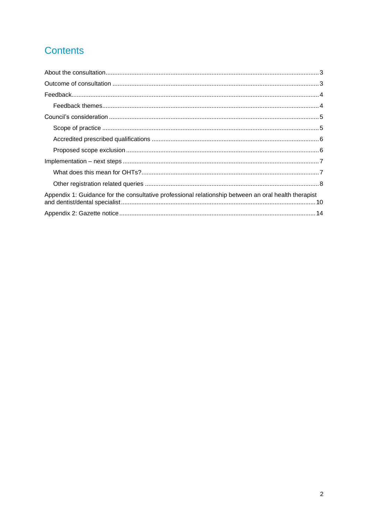# **Contents**

| Appendix 1: Guidance for the consultative professional relationship between an oral health therapist |
|------------------------------------------------------------------------------------------------------|
|                                                                                                      |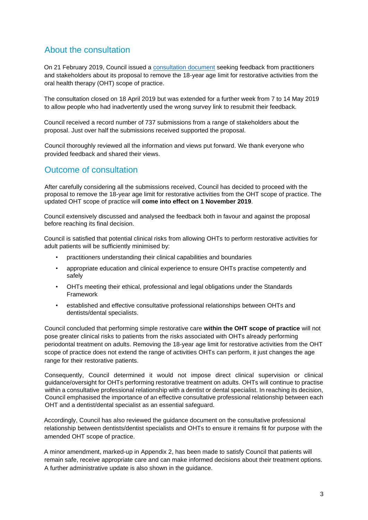# <span id="page-2-0"></span>About the consultation

On 21 February 2019, Council issued a [consultation document](https://www.dcnz.org.nz/assets/Uploads/Consultations/2019/Consultation-age-limit-restorative-treatment-OHT.pdf) [s](https://www.dcnz.org.nz/assets/Uploads/Consultations/2019/Consultation-age-limit-restorative-treatment-OHT.pdf)eeking feedback from practitioners and stakeholders about its proposal to remove the 18-year age limit for restorative activities from the oral health therapy (OHT) scope of practice.

The consultation closed on 18 April 2019 but was extended for a further week from 7 to 14 May 2019 to allow people who had inadvertently used the wrong survey link to resubmit their feedback.

Council received a record number of 737 submissions from a range of stakeholders about the proposal. Just over half the submissions received supported the proposal.

Council thoroughly reviewed all the information and views put forward. We thank everyone who provided feedback and shared their views.

# <span id="page-2-1"></span>Outcome of consultation

After carefully considering all the submissions received, Council has decided to proceed with the proposal to remove the 18-year age limit for restorative activities from the OHT scope of practice. The updated OHT scope of practice will **come into effect on 1 November 2019**.

Council extensively discussed and analysed the feedback both in favour and against the proposal before reaching its final decision.

Council is satisfied that potential clinical risks from allowing OHTs to perform restorative activities for adult patients will be sufficiently minimised by:

- practitioners understanding their clinical capabilities and boundaries
- appropriate education and clinical experience to ensure OHTs practise competently and safely
- OHTs meeting their ethical, professional and legal obligations under the Standards Framework
- established and effective consultative professional relationships between OHTs and dentists/dental specialists.

Council concluded that performing simple restorative care **within the OHT scope of practice** will not pose greater clinical risks to patients from the risks associated with OHTs already performing periodontal treatment on adults. Removing the 18-year age limit for restorative activities from the OHT scope of practice does not extend the range of activities OHTs can perform, it just changes the age range for their restorative patients.

Consequently, Council determined it would not impose direct clinical supervision or clinical guidance/oversight for OHTs performing restorative treatment on adults. OHTs will continue to practise within a consultative professional relationship with a dentist or dental specialist. In reaching its decision, Council emphasised the importance of an effective consultative professional relationship between each OHT and a dentist/dental specialist as an essential safeguard.

Accordingly, Council has also reviewed the guidance document on the consultative professional relationship between dentists/dentist specialists and OHTs to ensure it remains fit for purpose with the amended OHT scope of practice.

A minor amendment, marked-up in Appendix 2, has been made to satisfy Council that patients will remain safe, receive appropriate care and can make informed decisions about their treatment options. A further administrative update is also shown in the guidance.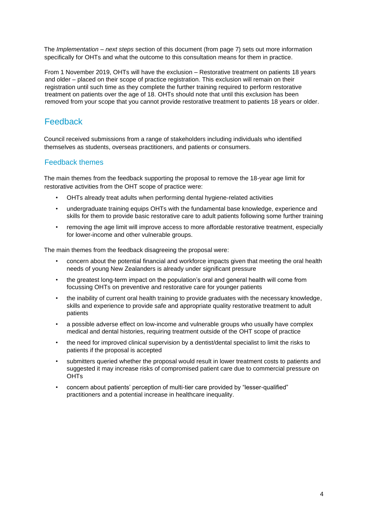The *Implementation – next steps* section of this document (from page 7) sets out more information specifically for OHTs and what the outcome to this consultation means for them in practice.

From 1 November 2019, OHTs will have the exclusion – Restorative treatment on patients 18 years and older – placed on their scope of practice registration. This exclusion will remain on their registration until such time as they complete the further training required to perform restorative treatment on patients over the age of 18. OHTs should note that until this exclusion has been removed from your scope that you cannot provide restorative treatment to patients 18 years or older.

# <span id="page-3-0"></span>Feedback

Council received submissions from a range of stakeholders including individuals who identified themselves as students, overseas practitioners, and patients or consumers.

### <span id="page-3-1"></span>Feedback themes

The main themes from the feedback supporting the proposal to remove the 18-year age limit for restorative activities from the OHT scope of practice were:

- OHTs already treat adults when performing dental hygiene-related activities
- undergraduate training equips OHTs with the fundamental base knowledge, experience and skills for them to provide basic restorative care to adult patients following some further training
- removing the age limit will improve access to more affordable restorative treatment, especially for lower-income and other vulnerable groups.

The main themes from the feedback disagreeing the proposal were:

- concern about the potential financial and workforce impacts given that meeting the oral health needs of young New Zealanders is already under significant pressure
- the greatest long-term impact on the population's oral and general health will come from focussing OHTs on preventive and restorative care for younger patients
- the inability of current oral health training to provide graduates with the necessary knowledge, skills and experience to provide safe and appropriate quality restorative treatment to adult patients
- a possible adverse effect on low-income and vulnerable groups who usually have complex medical and dental histories, requiring treatment outside of the OHT scope of practice
- the need for improved clinical supervision by a dentist/dental specialist to limit the risks to patients if the proposal is accepted
- submitters queried whether the proposal would result in lower treatment costs to patients and suggested it may increase risks of compromised patient care due to commercial pressure on OHTs
- <span id="page-3-2"></span>• concern about patients' perception of multi-tier care provided by "lesser-qualified" practitioners and a potential increase in healthcare inequality.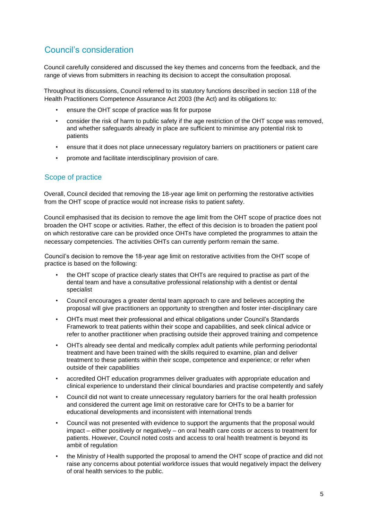# Council's consideration

Council carefully considered and discussed the key themes and concerns from the feedback, and the range of views from submitters in reaching its decision to accept the consultation proposal.

Throughout its discussions, Council referred to its statutory functions described in section 118 of the Health Practitioners Competence Assurance Act 2003 (the Act) and its obligations to:

- ensure the OHT scope of practice was fit for purpose
- consider the risk of harm to public safety if the age restriction of the OHT scope was removed, and whether safeguards already in place are sufficient to minimise any potential risk to patients
- ensure that it does not place unnecessary regulatory barriers on practitioners or patient care
- promote and facilitate interdisciplinary provision of care.

### <span id="page-4-0"></span>Scope of practice

Overall, Council decided that removing the 18-year age limit on performing the restorative activities from the OHT scope of practice would not increase risks to patient safety.

Council emphasised that its decision to remove the age limit from the OHT scope of practice does not broaden the OHT scope or activities. Rather, the effect of this decision is to broaden the patient pool on which restorative care can be provided once OHTs have completed the programmes to attain the necessary competencies. The activities OHTs can currently perform remain the same.

Council's decision to remove the 18-year age limit on restorative activities from the OHT scope of practice is based on the following:

- the OHT scope of practice clearly states that OHTs are required to practise as part of the dental team and have a consultative professional relationship with a dentist or dental specialist
- Council encourages a greater dental team approach to care and believes accepting the proposal will give practitioners an opportunity to strengthen and foster inter-disciplinary care
- OHTs must meet their professional and ethical obligations under Council's Standards Framework to treat patients within their scope and capabilities, and seek clinical advice or refer to another practitioner when practising outside their approved training and competence
- OHTs already see dental and medically complex adult patients while performing periodontal treatment and have been trained with the skills required to examine, plan and deliver treatment to these patients within their scope, competence and experience; or refer when outside of their capabilities
- accredited OHT education programmes deliver graduates with appropriate education and clinical experience to understand their clinical boundaries and practise competently and safely
- Council did not want to create unnecessary regulatory barriers for the oral health profession and considered the current age limit on restorative care for OHTs to be a barrier for educational developments and inconsistent with international trends
- Council was not presented with evidence to support the arguments that the proposal would impact – either positively or negatively – on oral health care costs or access to treatment for patients. However, Council noted costs and access to oral health treatment is beyond its ambit of regulation
- the Ministry of Health supported the proposal to amend the OHT scope of practice and did not raise any concerns about potential workforce issues that would negatively impact the delivery of oral health services to the public.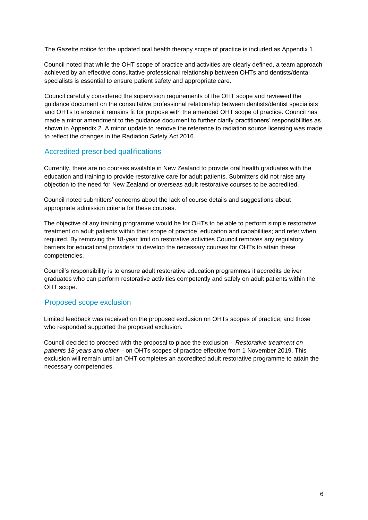The Gazette notice for the updated oral health therapy scope of practice is included as Appendix 1.

Council noted that while the OHT scope of practice and activities are clearly defined, a team approach achieved by an effective consultative professional relationship between OHTs and dentists/dental specialists is essential to ensure patient safety and appropriate care.

Council carefully considered the supervision requirements of the OHT scope and reviewed the guidance document on the consultative professional relationship between dentists/dentist specialists and OHTs to ensure it remains fit for purpose with the amended OHT scope of practice. Council has made a minor amendment to the guidance document to further clarify practitioners' responsibilities as shown in Appendix 2. A minor update to remove the reference to radiation source licensing was made to reflect the changes in the Radiation Safety Act 2016.

### <span id="page-5-0"></span>Accredited prescribed qualifications

Currently, there are no courses available in New Zealand to provide oral health graduates with the education and training to provide restorative care for adult patients. Submitters did not raise any objection to the need for New Zealand or overseas adult restorative courses to be accredited.

Council noted submitters' concerns about the lack of course details and suggestions about appropriate admission criteria for these courses.

The objective of any training programme would be for OHTs to be able to perform simple restorative treatment on adult patients within their scope of practice, education and capabilities; and refer when required. By removing the 18-year limit on restorative activities Council removes any regulatory barriers for educational providers to develop the necessary courses for OHTs to attain these competencies.

Council's responsibility is to ensure adult restorative education programmes it accredits deliver graduates who can perform restorative activities competently and safely on adult patients within the OHT scope.

## <span id="page-5-1"></span>Proposed scope exclusion

Limited feedback was received on the proposed exclusion on OHTs scopes of practice; and those who responded supported the proposed exclusion.

Council decided to proceed with the proposal to place the exclusion – *Restorative treatment on patients 18 years and older* – on OHTs scopes of practice effective from 1 November 2019. This exclusion will remain until an OHT completes an accredited adult restorative programme to attain the necessary competencies.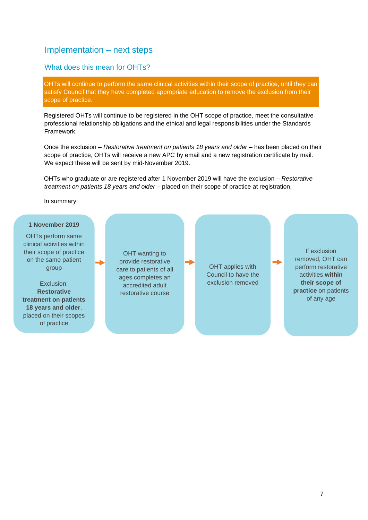# <span id="page-6-0"></span>Implementation – next steps

#### <span id="page-6-1"></span>What does this mean for OHTs?

OHTs will continue to perform the same clinical activities within their scope of practice, until they can satisfy Council that they have completed appropriate education to remove the exclusion from their scope of practice.

Registered OHTs will continue to be registered in the OHT scope of practice, meet the consultative professional relationship obligations and the ethical and legal responsibilities under the Standards Framework.

Once the exclusion – *Restorative treatment on patients 18 years and older* – has been placed on their scope of practice, OHTs will receive a new APC by email and a new registration certificate by mail. We expect these will be sent by mid-November 2019.

OHTs who graduate or are registered after 1 November 2019 will have the exclusion – *Restorative treatment on patients 18 years and older* – placed on their scope of practice at registration.

In summary:

#### **1 November 2019**

OHTs perform same clinical activities within their scope of practice on the same patient group

Exclusion: **Restorative treatment on patients 18 years and older**, placed on their scopes of practice

OHT wanting to provide restorative care to patients of all ages completes an accredited adult restorative course

OHT applies with Council to have the exclusion removed

If exclusion removed, OHT can perform restorative activities **within their scope of practice** on patients of any age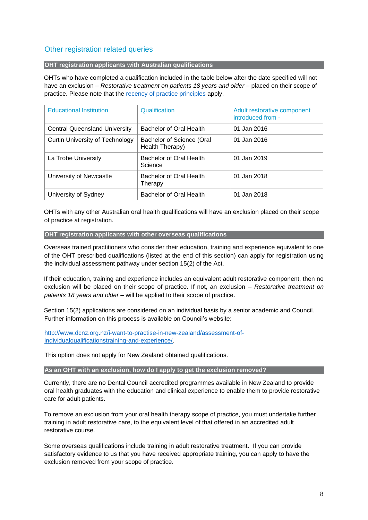## <span id="page-7-0"></span>Other registration related queries

#### **OHT registration applicants with Australian qualifications**

OHTs who have completed a qualification included in the table below after the date specified will not have an exclusion – *Restorative treatment on patients 18 years and older* – placed on their scope of practice. Please note that the [recency of practice principles](https://www.dcnz.org.nz/assets/Uploads/Policies/Recency-of-practice-policy.pdf) [a](https://www.dcnz.org.nz/assets/Uploads/Policies/Recency-of-practice-policy.pdf)pply.

| <b>Educational Institution</b>         | Qualification                                | Adult restorative component<br>introduced from - |
|----------------------------------------|----------------------------------------------|--------------------------------------------------|
| <b>Central Queensland University</b>   | Bachelor of Oral Health                      | 01 Jan 2016                                      |
| <b>Curtin University of Technology</b> | Bachelor of Science (Oral<br>Health Therapy) | 01 Jan 2016                                      |
| La Trobe University                    | Bachelor of Oral Health<br>Science           | 01 Jan 2019                                      |
| University of Newcastle                | Bachelor of Oral Health<br>Therapy           | 01 Jan 2018                                      |
| University of Sydney                   | Bachelor of Oral Health                      | 01 Jan 2018                                      |

OHTs with any other Australian oral health qualifications will have an exclusion placed on their scope of practice at registration.

#### **OHT registration applicants with other overseas qualifications**

Overseas trained practitioners who consider their education, training and experience equivalent to one of the OHT prescribed qualifications (listed at the end of this section) can apply for registration using the individual assessment pathway under section 15(2) of the Act.

If their education, training and experience includes an equivalent adult restorative component, then no exclusion will be placed on their scope of practice. If not, an exclusion – *Restorative treatment on patients 18 years and older* – will be applied to their scope of practice.

Section 15(2) applications are considered on an individual basis by a senior academic and Council. Further information on this process is available on Council's website:

[http://www.dcnz.org.nz/i-want-to-practise-in-new-zealand/assessment-of](http://www.dcnz.org.nz/i-want-to-practise-in-new-zealand/assessment-of-individual-qualificationstraining-and-experience/)[individualqualificationstraining-and-experience/.](http://www.dcnz.org.nz/i-want-to-practise-in-new-zealand/assessment-of-individual-qualificationstraining-and-experience/) 

This option does not apply for New Zealand obtained qualifications.

#### **As an OHT with an exclusion, how do I apply to get the exclusion removed?**

Currently, there are no Dental Council accredited programmes available in New Zealand to provide oral health graduates with the education and clinical experience to enable them to provide restorative care for adult patients.

To remove an exclusion from your oral health therapy scope of practice, you must undertake further training in adult restorative care, to the equivalent level of that offered in an accredited adult restorative course.

Some overseas qualifications include training in adult restorative treatment. If you can provide satisfactory evidence to us that you have received appropriate training, you can apply to have the exclusion removed from your scope of practice.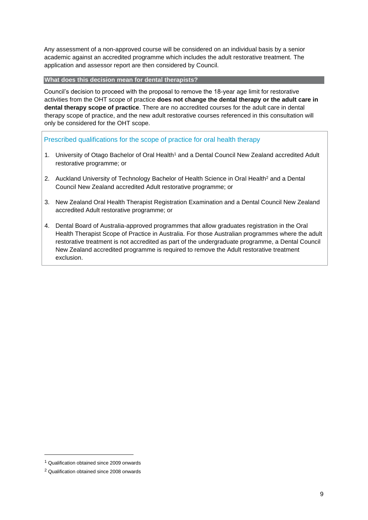Any assessment of a non-approved course will be considered on an individual basis by a senior academic against an accredited programme which includes the adult restorative treatment. The application and assessor report are then considered by Council.

#### **What does this decision mean for dental therapists?**

Council's decision to proceed with the proposal to remove the 18-year age limit for restorative activities from the OHT scope of practice **does not change the dental therapy or the adult care in dental therapy scope of practice**. There are no accredited courses for the adult care in dental therapy scope of practice, and the new adult restorative courses referenced in this consultation will only be considered for the OHT scope.

Prescribed qualifications for the scope of practice for oral health therapy

- 1. University of Otago Bachelor of Oral Health<sup>1</sup> and a Dental Council New Zealand accredited Adult restorative programme; or
- 2. Auckland University of Technology Bachelor of Health Science in Oral Health<sup>2</sup> and a Dental Council New Zealand accredited Adult restorative programme; or
- 3. New Zealand Oral Health Therapist Registration Examination and a Dental Council New Zealand accredited Adult restorative programme; or
- 4. Dental Board of Australia-approved programmes that allow graduates registration in the Oral Health Therapist Scope of Practice in Australia. For those Australian programmes where the adult restorative treatment is not accredited as part of the undergraduate programme, a Dental Council New Zealand accredited programme is required to remove the Adult restorative treatment exclusion.

<sup>1</sup> Qualification obtained since 2009 onwards

<sup>2</sup> Qualification obtained since 2008 onwards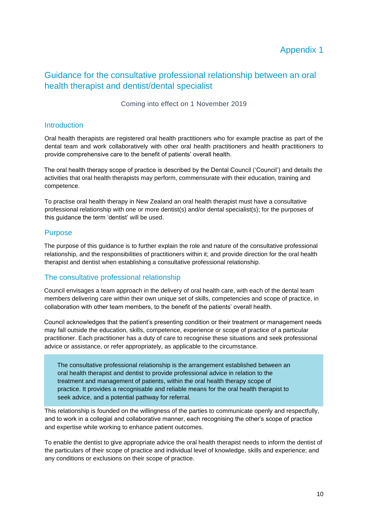# Appendix 1

# <span id="page-9-0"></span>Guidance for the consultative professional relationship between an oral health therapist and dentist/dental specialist

Coming into effect on 1 November 2019

#### **Introduction**

Oral health therapists are registered oral health practitioners who for example practise as part of the dental team and work collaboratively with other oral health practitioners and health practitioners to provide comprehensive care to the benefit of patients' overall health.

The oral health therapy scope of practice is described by the Dental Council ('Council') and details the activities that oral health therapists may perform, commensurate with their education, training and competence.

To practise oral health therapy in New Zealand an oral health therapist must have a consultative professional relationship with one or more dentist(s) and/or dental specialist(s); for the purposes of this guidance the term 'dentist' will be used.

#### Purpose

The purpose of this guidance is to further explain the role and nature of the consultative professional relationship, and the responsibilities of practitioners within it; and provide direction for the oral health therapist and dentist when establishing a consultative professional relationship.

### The consultative professional relationship

Council envisages a team approach in the delivery of oral health care, with each of the dental team members delivering care within their own unique set of skills, competencies and scope of practice, in collaboration with other team members, to the benefit of the patients' overall health.

Council acknowledges that the patient's presenting condition or their treatment or management needs may fall outside the education, skills, competence, experience or scope of practice of a particular practitioner. Each practitioner has a duty of care to recognise these situations and seek professional advice or assistance, or refer appropriately, as applicable to the circumstance.

The consultative professional relationship is the arrangement established between an oral health therapist and dentist to provide professional advice in relation to the treatment and management of patients, within the oral health therapy scope of practice. It provides a recognisable and reliable means for the oral health therapist to seek advice, and a potential pathway for referral.

This relationship is founded on the willingness of the parties to communicate openly and respectfully, and to work in a collegial and collaborative manner, each recognising the other's scope of practice and expertise while working to enhance patient outcomes.

To enable the dentist to give appropriate advice the oral health therapist needs to inform the dentist of the particulars of their scope of practice and individual level of knowledge, skills and experience; and any conditions or exclusions on their scope of practice.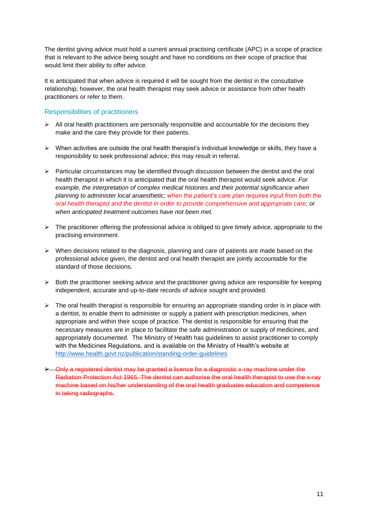The dentist giving advice must hold a current annual practising certificate (APC) in a scope of practice that is relevant to the advice being sought and have no conditions on their scope of practice that would limit their ability to offer advice.

It is anticipated that when advice is required it will be sought from the dentist in the consultative relationship; however, the oral health therapist may seek advice or assistance from other health practitioners or refer to them.

### Responsibilities of practitioners

- $\triangleright$  All oral health practitioners are personally responsible and accountable for the decisions they make and the care they provide for their patients.
- $\triangleright$  When activities are outside the oral health therapist's individual knowledge or skills, they have a responsibility to seek professional advice; this may result in referral.
- $\triangleright$  Particular circumstances may be identified through discussion between the dentist and the oral health therapist in which it is anticipated that the oral health therapist would seek advice. *For example, the interpretation of complex medical histories and their potential significance when planning to administer local anaesthetic; when the patient's care plan requires input from both the oral health therapist and the dentist in order to provide comprehensive and appropriate care; or when anticipated treatment outcomes have not been met.*
- $\triangleright$  The practitioner offering the professional advice is obliged to give timely advice, appropriate to the practising environment.
- $\triangleright$  When decisions related to the diagnosis, planning and care of patients are made based on the professional advice given, the dentist and oral health therapist are jointly accountable for the standard of those decisions.
- $\triangleright$  Both the practitioner seeking advice and the practitioner giving advice are responsible for keeping independent, accurate and up-to-date records of advice sought and provided.
- $\triangleright$  The oral health therapist is responsible for ensuring an appropriate standing order is in place with a dentist, to enable them to administer or supply a patient with prescription medicines, when appropriate and within their scope of practice. The dentist is responsible for ensuring that the necessary measures are in place to facilitate the safe administration or supply of medicines, and appropriately documented. The Ministry of Health has guidelines to assist practitioner to comply with the Medicines Regulations, and is available on the Ministry of Health's website at <http://www.health.govt.nz/publication/standing-order-guidelines>
- ➢ Only a registered dentist may be granted a licence for a diagnostic x-ray machine under the Radiation Protection Act 1965. The dentist can authorise the oral health therapist to use the x-ray machine based on his/her understanding of the oral health graduates education and competence in taking radiographs.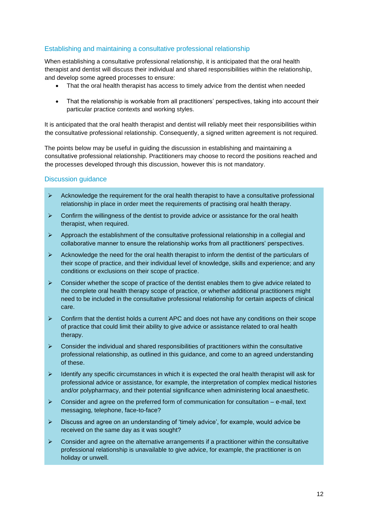### Establishing and maintaining a consultative professional relationship

When establishing a consultative professional relationship, it is anticipated that the oral health therapist and dentist will discuss their individual and shared responsibilities within the relationship, and develop some agreed processes to ensure:

- That the oral health therapist has access to timely advice from the dentist when needed
- That the relationship is workable from all practitioners' perspectives, taking into account their particular practice contexts and working styles.

It is anticipated that the oral health therapist and dentist will reliably meet their responsibilities within the consultative professional relationship. Consequently, a signed written agreement is not required.

The points below may be useful in guiding the discussion in establishing and maintaining a consultative professional relationship. Practitioners may choose to record the positions reached and the processes developed through this discussion, however this is not mandatory.

#### Discussion guidance

- $\triangleright$  Acknowledge the requirement for the oral health therapist to have a consultative professional relationship in place in order meet the requirements of practising oral health therapy.
- $\triangleright$  Confirm the willingness of the dentist to provide advice or assistance for the oral health therapist, when required.
- $\triangleright$  Approach the establishment of the consultative professional relationship in a collegial and collaborative manner to ensure the relationship works from all practitioners' perspectives.
- $\triangleright$  Acknowledge the need for the oral health therapist to inform the dentist of the particulars of their scope of practice, and their individual level of knowledge, skills and experience; and any conditions or exclusions on their scope of practice.
- $\triangleright$  Consider whether the scope of practice of the dentist enables them to give advice related to the complete oral health therapy scope of practice, or whether additional practitioners might need to be included in the consultative professional relationship for certain aspects of clinical care.
- $\triangleright$  Confirm that the dentist holds a current APC and does not have any conditions on their scope of practice that could limit their ability to give advice or assistance related to oral health therapy.
- $\triangleright$  Consider the individual and shared responsibilities of practitioners within the consultative professional relationship, as outlined in this guidance, and come to an agreed understanding of these.
- $\triangleright$  Identify any specific circumstances in which it is expected the oral health therapist will ask for professional advice or assistance, for example, the interpretation of complex medical histories and/or polypharmacy, and their potential significance when administering local anaesthetic.
- $\triangleright$  Consider and agree on the preferred form of communication for consultation e-mail, text messaging, telephone, face-to-face?
- ➢ Discuss and agree on an understanding of 'timely advice', for example, would advice be received on the same day as it was sought?
- $\triangleright$  Consider and agree on the alternative arrangements if a practitioner within the consultative professional relationship is unavailable to give advice, for example, the practitioner is on holiday or unwell.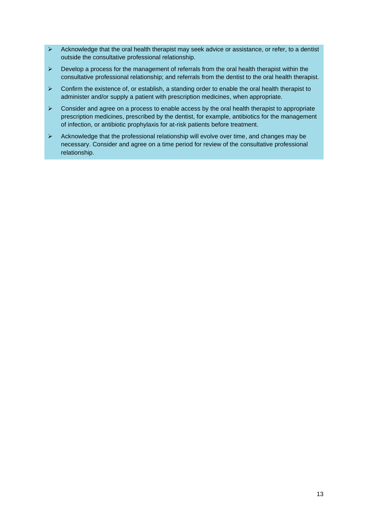- $\triangleright$  Acknowledge that the oral health therapist may seek advice or assistance, or refer, to a dentist outside the consultative professional relationship.
- $\triangleright$  Develop a process for the management of referrals from the oral health therapist within the consultative professional relationship; and referrals from the dentist to the oral health therapist.
- $\triangleright$  Confirm the existence of, or establish, a standing order to enable the oral health therapist to administer and/or supply a patient with prescription medicines, when appropriate.
- $\triangleright$  Consider and agree on a process to enable access by the oral health therapist to appropriate prescription medicines, prescribed by the dentist, for example, antibiotics for the management of infection, or antibiotic prophylaxis for at-risk patients before treatment.
- $\triangleright$  Acknowledge that the professional relationship will evolve over time, and changes may be necessary. Consider and agree on a time period for review of the consultative professional relationship.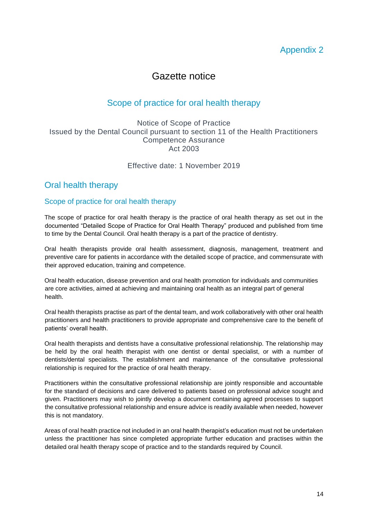# Appendix 2

# Gazette notice

# Scope of practice for oral health therapy

### <span id="page-13-0"></span>Notice of Scope of Practice Issued by the Dental Council pursuant to section 11 of the Health Practitioners Competence Assurance Act 2003

## Effective date: 1 November 2019

# Oral health therapy

### Scope of practice for oral health therapy

The scope of practice for oral health therapy is the practice of oral health therapy as set out in the documented "Detailed Scope of Practice for Oral Health Therapy" produced and published from time to time by the Dental Council. Oral health therapy is a part of the practice of dentistry.

Oral health therapists provide oral health assessment, diagnosis, management, treatment and preventive care for patients in accordance with the detailed scope of practice, and commensurate with their approved education, training and competence.

Oral health education, disease prevention and oral health promotion for individuals and communities are core activities, aimed at achieving and maintaining oral health as an integral part of general health.

Oral health therapists practise as part of the dental team, and work collaboratively with other oral health practitioners and health practitioners to provide appropriate and comprehensive care to the benefit of patients' overall health.

Oral health therapists and dentists have a consultative professional relationship. The relationship may be held by the oral health therapist with one dentist or dental specialist, or with a number of dentists/dental specialists. The establishment and maintenance of the consultative professional relationship is required for the practice of oral health therapy.

Practitioners within the consultative professional relationship are jointly responsible and accountable for the standard of decisions and care delivered to patients based on professional advice sought and given. Practitioners may wish to jointly develop a document containing agreed processes to support the consultative professional relationship and ensure advice is readily available when needed, however this is not mandatory.

Areas of oral health practice not included in an oral health therapist's education must not be undertaken unless the practitioner has since completed appropriate further education and practises within the detailed oral health therapy scope of practice and to the standards required by Council.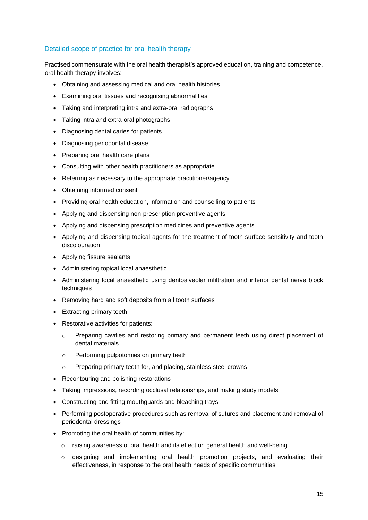### Detailed scope of practice for oral health therapy

Practised commensurate with the oral health therapist's approved education, training and competence, oral health therapy involves:

- Obtaining and assessing medical and oral health histories
- Examining oral tissues and recognising abnormalities
- Taking and interpreting intra and extra-oral radiographs
- Taking intra and extra-oral photographs
- Diagnosing dental caries for patients
- Diagnosing periodontal disease
- Preparing oral health care plans
- Consulting with other health practitioners as appropriate
- Referring as necessary to the appropriate practitioner/agency
- Obtaining informed consent
- Providing oral health education, information and counselling to patients
- Applying and dispensing non-prescription preventive agents
- Applying and dispensing prescription medicines and preventive agents
- Applying and dispensing topical agents for the treatment of tooth surface sensitivity and tooth discolouration
- Applying fissure sealants
- Administering topical local anaesthetic
- Administering local anaesthetic using dentoalveolar infiltration and inferior dental nerve block techniques
- Removing hard and soft deposits from all tooth surfaces
- Extracting primary teeth
- Restorative activities for patients:
	- o Preparing cavities and restoring primary and permanent teeth using direct placement of dental materials
	- o Performing pulpotomies on primary teeth
	- o Preparing primary teeth for, and placing, stainless steel crowns
- Recontouring and polishing restorations
- Taking impressions, recording occlusal relationships, and making study models
- Constructing and fitting mouthguards and bleaching trays
- Performing postoperative procedures such as removal of sutures and placement and removal of periodontal dressings
- Promoting the oral health of communities by:
	- $\circ$  raising awareness of oral health and its effect on general health and well-being
	- $\circ$  designing and implementing oral health promotion projects, and evaluating their effectiveness, in response to the oral health needs of specific communities